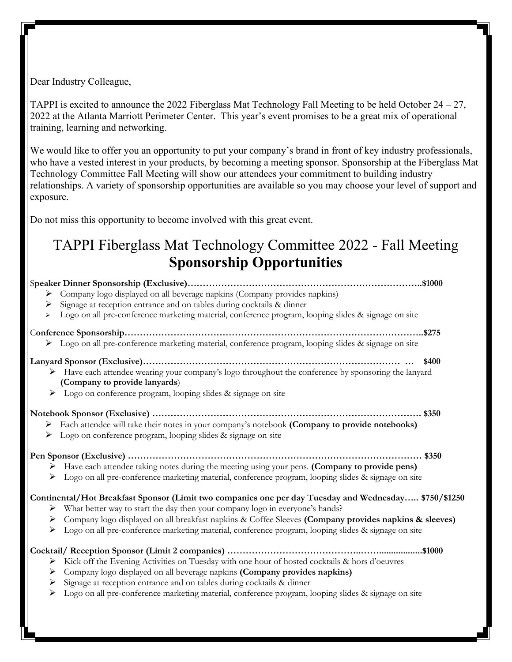Dear Industry Colleague,

TAPPI is excited to announce the 2022 Fiberglass Mat Technology Fall Meeting to be held October 24 – 27, 2022 at the Atlanta Marriott Perimeter Center. This year's event promises to be a great mix of operational training, learning and networking.

We would like to offer you an opportunity to put your company's brand in front of key industry professionals, who have a vested interest in your products, by becoming a meeting sponsor. Sponsorship at the Fiberglass Mat Technology Committee Fall Meeting will show our attendees your commitment to building industry relationships. A variety of sponsorship opportunities are available so you may choose your level of support and exposure.

Do not miss this opportunity to become involved with this great event.

## TAPPI Fiberglass Mat Technology Committee 2022 - Fall Meeting **Sponsorship Opportunities**

| > Company logo displayed on all beverage napkins (Company provides napkins)                                                                                                                                            |       |
|------------------------------------------------------------------------------------------------------------------------------------------------------------------------------------------------------------------------|-------|
| Signage at reception entrance and on tables during cocktails & dinner<br>➤                                                                                                                                             |       |
| Logo on all pre-conference marketing material, conference program, looping slides & signage on site<br>➤                                                                                                               |       |
|                                                                                                                                                                                                                        |       |
| > Logo on all pre-conference marketing material, conference program, looping slides & signage on site                                                                                                                  |       |
|                                                                                                                                                                                                                        | \$400 |
| > Have each attendee wearing your company's logo throughout the conference by sponsoring the lanyard<br>(Company to provide lanyards)                                                                                  |       |
| Logo on conference program, looping slides & signage on site<br>➤                                                                                                                                                      |       |
| > Each attendee will take their notes in your company's notebook (Company to provide notebooks)<br>> Logo on conference program, looping slides & signage on site                                                      |       |
| > Have each attendee taking notes during the meeting using your pens. (Company to provide pens)<br>Logo on all pre-conference marketing material, conference program, looping slides & signage on site<br>➤            |       |
| Continental/Hot Breakfast Sponsor (Limit two companies one per day Tuesday and Wednesday \$750/\$1250<br>> What better way to start the day then your company logo in everyone's hands?                                |       |
| Company logo displayed on all breakfast napkins & Coffee Sleeves (Company provides napkins & sleeves)<br>➤<br>Logo on all pre-conference marketing material, conference program, looping slides & signage on site<br>➤ |       |
| \$1000<br>Kick off the Evening Activities on Tuesday with one hour of hosted cocktails & hors d'oeuvres<br>➤                                                                                                           |       |
| Company logo displayed on all beverage napkins (Company provides napkins)<br>➤                                                                                                                                         |       |
| Signage at reception entrance and on tables during cocktails & dinner<br>≻                                                                                                                                             |       |
| Logo on all pre-conference marketing material, conference program, looping slides & signage on site<br>➤                                                                                                               |       |